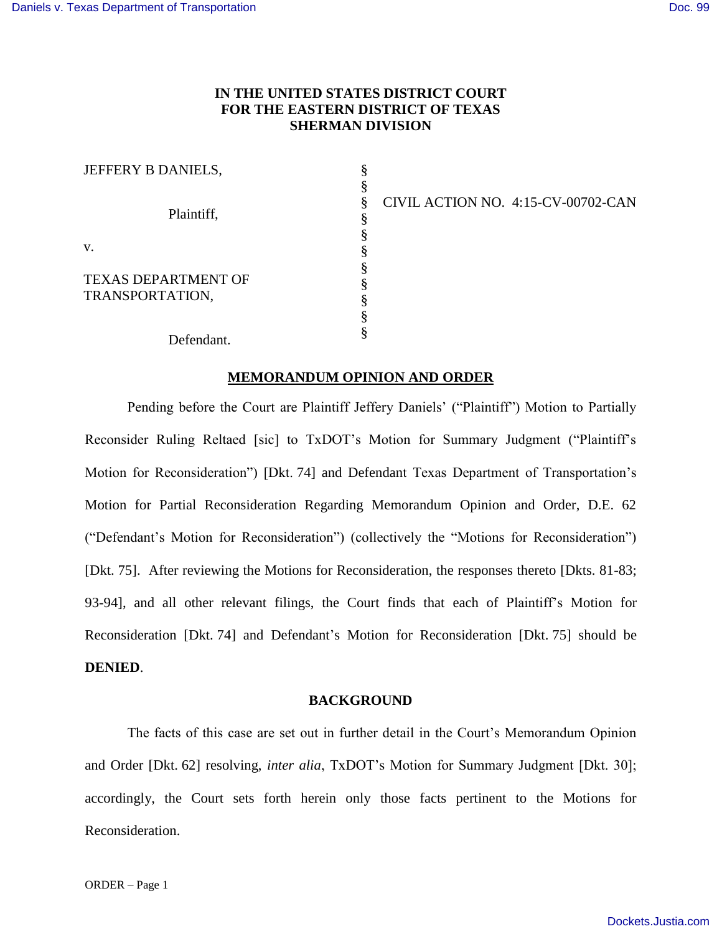# **IN THE UNITED STATES DISTRICT COURT FOR THE EASTERN DISTRICT OF TEXAS SHERMAN DIVISION**

| JEFFERY B DANIELS,         |  |
|----------------------------|--|
| Plaintiff,                 |  |
|                            |  |
|                            |  |
|                            |  |
| v.                         |  |
| <b>TEXAS DEPARTMENT OF</b> |  |
| TRANSPORTATION,            |  |
|                            |  |
|                            |  |
| Defendant.                 |  |

CIVIL ACTION NO. 4:15-CV-00702-CAN

## **MEMORANDUM OPINION AND ORDER**

Pending before the Court are Plaintiff Jeffery Daniels' ("Plaintiff") Motion to Partially Reconsider Ruling Reltaed [sic] to TxDOT's Motion for Summary Judgment ("Plaintiff's Motion for Reconsideration") [Dkt. 74] and Defendant Texas Department of Transportation's Motion for Partial Reconsideration Regarding Memorandum Opinion and Order, D.E. 62 ("Defendant's Motion for Reconsideration") (collectively the "Motions for Reconsideration") [Dkt. 75]. After reviewing the Motions for Reconsideration, the responses thereto [Dkts. 81-83; 93-94], and all other relevant filings, the Court finds that each of Plaintiff's Motion for Reconsideration [Dkt. 74] and Defendant's Motion for Reconsideration [Dkt. 75] should be **DENIED**.

#### **BACKGROUND**

The facts of this case are set out in further detail in the Court's Memorandum Opinion and Order [Dkt. 62] resolving, *inter alia*, TxDOT's Motion for Summary Judgment [Dkt. 30]; accordingly, the Court sets forth herein only those facts pertinent to the Motions for Reconsideration.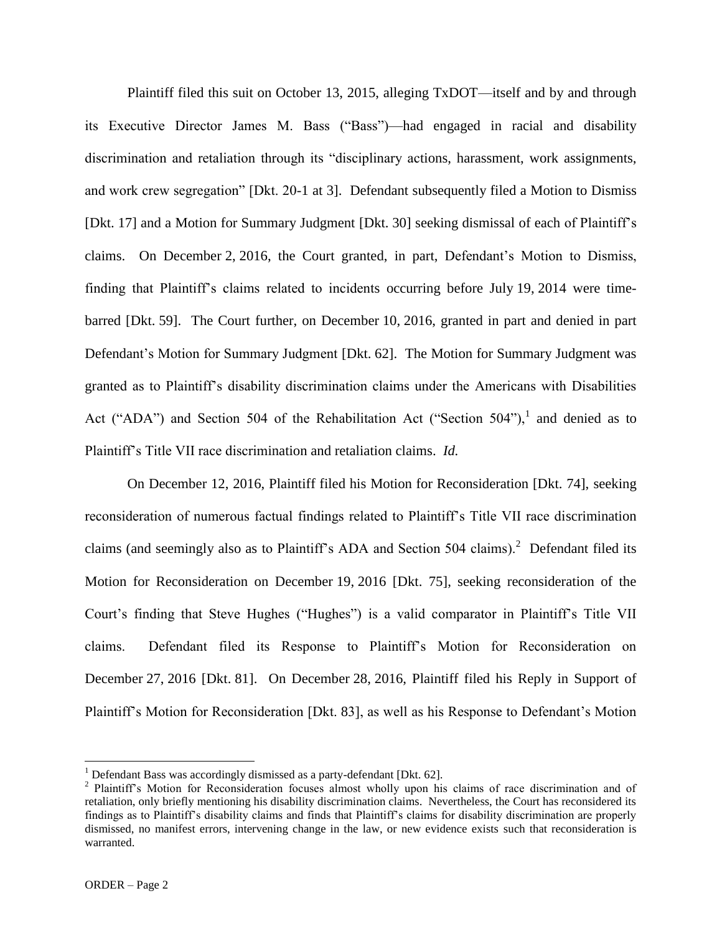Plaintiff filed this suit on October 13, 2015, alleging TxDOT—itself and by and through its Executive Director James M. Bass ("Bass")—had engaged in racial and disability discrimination and retaliation through its "disciplinary actions, harassment, work assignments, and work crew segregation" [Dkt. 20-1 at 3]. Defendant subsequently filed a Motion to Dismiss [Dkt. 17] and a Motion for Summary Judgment [Dkt. 30] seeking dismissal of each of Plaintiff's claims. On December 2, 2016, the Court granted, in part, Defendant's Motion to Dismiss, finding that Plaintiff's claims related to incidents occurring before July 19, 2014 were timebarred [Dkt. 59]. The Court further, on December 10, 2016, granted in part and denied in part Defendant's Motion for Summary Judgment [Dkt. 62]. The Motion for Summary Judgment was granted as to Plaintiff's disability discrimination claims under the Americans with Disabilities Act ("ADA") and Section 504 of the Rehabilitation Act ("Section  $504$ "), and denied as to Plaintiff's Title VII race discrimination and retaliation claims. *Id.*

On December 12, 2016, Plaintiff filed his Motion for Reconsideration [Dkt. 74], seeking reconsideration of numerous factual findings related to Plaintiff's Title VII race discrimination claims (and seemingly also as to Plaintiff's ADA and Section 504 claims).<sup>2</sup> Defendant filed its Motion for Reconsideration on December 19, 2016 [Dkt. 75], seeking reconsideration of the Court's finding that Steve Hughes ("Hughes") is a valid comparator in Plaintiff's Title VII claims. Defendant filed its Response to Plaintiff's Motion for Reconsideration on December 27, 2016 [Dkt. 81]. On December 28, 2016, Plaintiff filed his Reply in Support of Plaintiff's Motion for Reconsideration [Dkt. 83], as well as his Response to Defendant's Motion

<sup>&</sup>lt;sup>1</sup> Defendant Bass was accordingly dismissed as a party-defendant [Dkt. 62].

<sup>&</sup>lt;sup>2</sup> Plaintiff's Motion for Reconsideration focuses almost wholly upon his claims of race discrimination and of retaliation, only briefly mentioning his disability discrimination claims. Nevertheless, the Court has reconsidered its findings as to Plaintiff's disability claims and finds that Plaintiff's claims for disability discrimination are properly dismissed, no manifest errors, intervening change in the law, or new evidence exists such that reconsideration is warranted.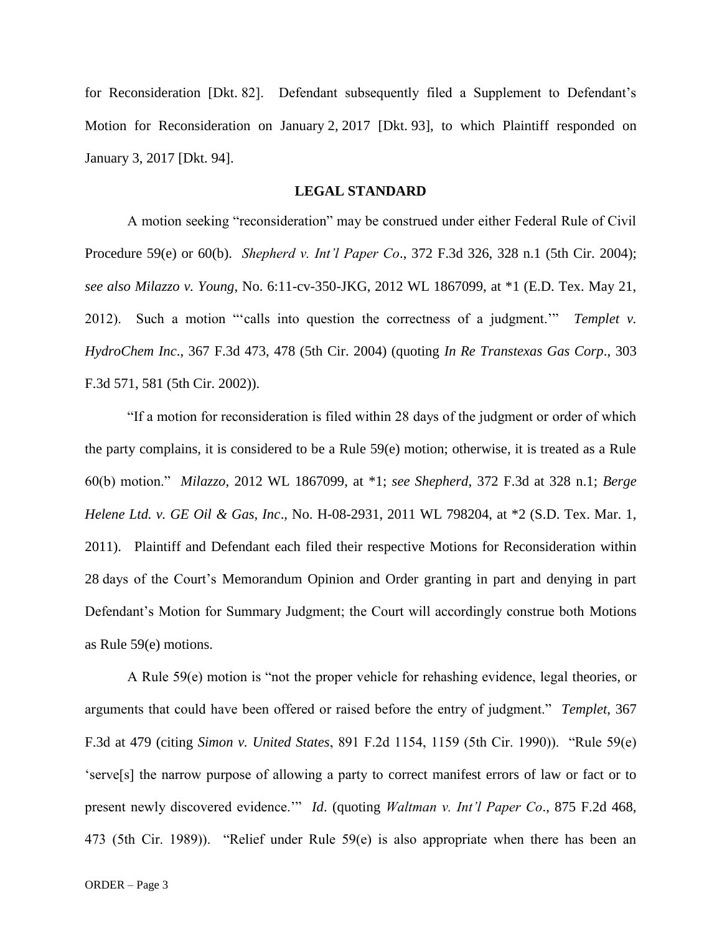for Reconsideration [Dkt. 82]. Defendant subsequently filed a Supplement to Defendant's Motion for Reconsideration on January 2, 2017 [Dkt. 93], to which Plaintiff responded on January 3, 2017 [Dkt. 94].

### **LEGAL STANDARD**

A motion seeking "reconsideration" may be construed under either Federal Rule of Civil Procedure 59(e) or 60(b). *Shepherd v. Int'l Paper Co*., 372 F.3d 326, 328 n.1 (5th Cir. 2004); *see also Milazzo v. Young*, No. 6:11-cv-350-JKG, 2012 WL 1867099, at \*1 (E.D. Tex. May 21, 2012). Such a motion "'calls into question the correctness of a judgment.'" *Templet v. HydroChem Inc*., 367 F.3d 473, 478 (5th Cir. 2004) (quoting *In Re Transtexas Gas Corp*., 303 F.3d 571, 581 (5th Cir. 2002)).

"If a motion for reconsideration is filed within 28 days of the judgment or order of which the party complains, it is considered to be a Rule 59(e) motion; otherwise, it is treated as a Rule 60(b) motion." *Milazzo*, 2012 WL 1867099, at \*1; *see Shepherd*, 372 F.3d at 328 n.1; *Berge Helene Ltd. v. GE Oil & Gas, Inc*., No. H-08-2931, 2011 WL 798204, at \*2 (S.D. Tex. Mar. 1, 2011). Plaintiff and Defendant each filed their respective Motions for Reconsideration within 28 days of the Court's Memorandum Opinion and Order granting in part and denying in part Defendant's Motion for Summary Judgment; the Court will accordingly construe both Motions as Rule 59(e) motions.

A Rule 59(e) motion is "not the proper vehicle for rehashing evidence, legal theories, or arguments that could have been offered or raised before the entry of judgment." *Templet*, 367 F.3d at 479 (citing *Simon v. United States*, 891 F.2d 1154, 1159 (5th Cir. 1990)). "Rule 59(e) 'serve[s] the narrow purpose of allowing a party to correct manifest errors of law or fact or to present newly discovered evidence.'" *Id*. (quoting *Waltman v. Int'l Paper Co*., 875 F.2d 468, 473 (5th Cir. 1989)). "Relief under Rule 59(e) is also appropriate when there has been an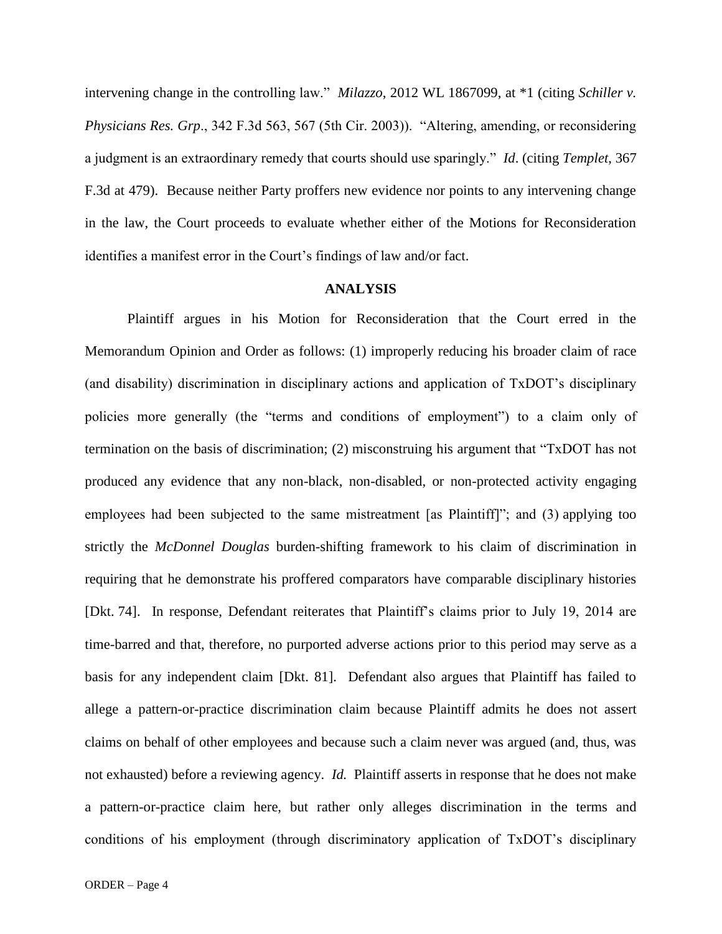intervening change in the controlling law." *Milazzo*, 2012 WL 1867099, at \*1 (citing *Schiller v. Physicians Res. Grp*., 342 F.3d 563, 567 (5th Cir. 2003)). "Altering, amending, or reconsidering a judgment is an extraordinary remedy that courts should use sparingly." *Id*. (citing *Templet*, 367 F.3d at 479). Because neither Party proffers new evidence nor points to any intervening change in the law, the Court proceeds to evaluate whether either of the Motions for Reconsideration identifies a manifest error in the Court's findings of law and/or fact.

## **ANALYSIS**

Plaintiff argues in his Motion for Reconsideration that the Court erred in the Memorandum Opinion and Order as follows: (1) improperly reducing his broader claim of race (and disability) discrimination in disciplinary actions and application of TxDOT's disciplinary policies more generally (the "terms and conditions of employment") to a claim only of termination on the basis of discrimination; (2) misconstruing his argument that "TxDOT has not produced any evidence that any non-black, non-disabled, or non-protected activity engaging employees had been subjected to the same mistreatment [as Plaintiff]"; and (3) applying too strictly the *McDonnel Douglas* burden-shifting framework to his claim of discrimination in requiring that he demonstrate his proffered comparators have comparable disciplinary histories [Dkt. 74]. In response, Defendant reiterates that Plaintiff's claims prior to July 19, 2014 are time-barred and that, therefore, no purported adverse actions prior to this period may serve as a basis for any independent claim [Dkt. 81]. Defendant also argues that Plaintiff has failed to allege a pattern-or-practice discrimination claim because Plaintiff admits he does not assert claims on behalf of other employees and because such a claim never was argued (and, thus, was not exhausted) before a reviewing agency. *Id.* Plaintiff asserts in response that he does not make a pattern-or-practice claim here, but rather only alleges discrimination in the terms and conditions of his employment (through discriminatory application of TxDOT's disciplinary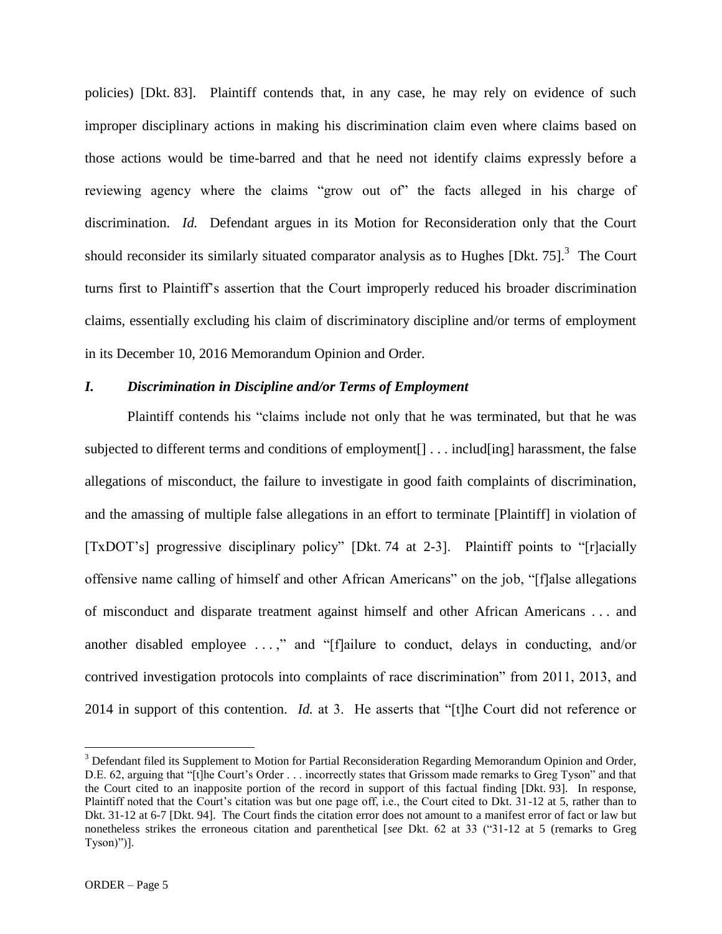policies) [Dkt. 83]. Plaintiff contends that, in any case, he may rely on evidence of such improper disciplinary actions in making his discrimination claim even where claims based on those actions would be time-barred and that he need not identify claims expressly before a reviewing agency where the claims "grow out of" the facts alleged in his charge of discrimination. *Id.* Defendant argues in its Motion for Reconsideration only that the Court should reconsider its similarly situated comparator analysis as to Hughes [Dkt. 75]. $3$  The Court turns first to Plaintiff's assertion that the Court improperly reduced his broader discrimination claims, essentially excluding his claim of discriminatory discipline and/or terms of employment in its December 10, 2016 Memorandum Opinion and Order.

## *I. Discrimination in Discipline and/or Terms of Employment*

Plaintiff contends his "claims include not only that he was terminated, but that he was subjected to different terms and conditions of employment[] . . . includ[ing] harassment, the false allegations of misconduct, the failure to investigate in good faith complaints of discrimination, and the amassing of multiple false allegations in an effort to terminate [Plaintiff] in violation of [TxDOT's] progressive disciplinary policy" [Dkt. 74 at 2-3]. Plaintiff points to "[r]acially offensive name calling of himself and other African Americans" on the job, "[f]alse allegations of misconduct and disparate treatment against himself and other African Americans . . . and another disabled employee . . . ," and "[f]ailure to conduct, delays in conducting, and/or contrived investigation protocols into complaints of race discrimination" from 2011, 2013, and 2014 in support of this contention. *Id.* at 3. He asserts that "[t]he Court did not reference or

<sup>&</sup>lt;sup>3</sup> Defendant filed its Supplement to Motion for Partial Reconsideration Regarding Memorandum Opinion and Order, D.E. 62, arguing that "[t]he Court's Order . . . incorrectly states that Grissom made remarks to Greg Tyson" and that the Court cited to an inapposite portion of the record in support of this factual finding [Dkt. 93]. In response, Plaintiff noted that the Court's citation was but one page off, i.e., the Court cited to Dkt. 31-12 at 5, rather than to Dkt. 31-12 at 6-7 [Dkt. 94]. The Court finds the citation error does not amount to a manifest error of fact or law but nonetheless strikes the erroneous citation and parenthetical [*see* Dkt. 62 at 33 ("31-12 at 5 (remarks to Greg Tyson)")].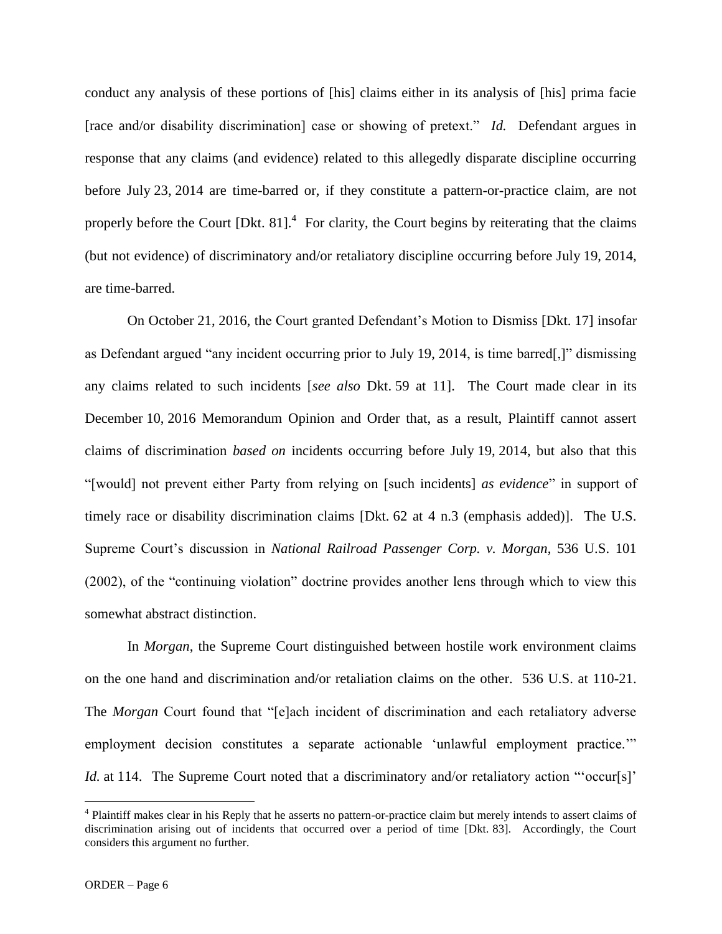conduct any analysis of these portions of [his] claims either in its analysis of [his] prima facie [race and/or disability discrimination] case or showing of pretext." *Id.* Defendant argues in response that any claims (and evidence) related to this allegedly disparate discipline occurring before July 23, 2014 are time-barred or, if they constitute a pattern-or-practice claim, are not properly before the Court  $[Dkt. 81]$ .<sup>4</sup> For clarity, the Court begins by reiterating that the claims (but not evidence) of discriminatory and/or retaliatory discipline occurring before July 19, 2014, are time-barred.

On October 21, 2016, the Court granted Defendant's Motion to Dismiss [Dkt. 17] insofar as Defendant argued "any incident occurring prior to July 19, 2014, is time barred[,]" dismissing any claims related to such incidents [*see also* Dkt. 59 at 11]. The Court made clear in its December 10, 2016 Memorandum Opinion and Order that, as a result, Plaintiff cannot assert claims of discrimination *based on* incidents occurring before July 19, 2014, but also that this "[would] not prevent either Party from relying on [such incidents] *as evidence*" in support of timely race or disability discrimination claims [Dkt. 62 at 4 n.3 (emphasis added)]. The U.S. Supreme Court's discussion in *National Railroad Passenger Corp. v. Morgan*, 536 U.S. 101 (2002), of the "continuing violation" doctrine provides another lens through which to view this somewhat abstract distinction.

In *Morgan*, the Supreme Court distinguished between hostile work environment claims on the one hand and discrimination and/or retaliation claims on the other. 536 U.S. at 110-21. The *Morgan* Court found that "[e]ach incident of discrimination and each retaliatory adverse employment decision constitutes a separate actionable 'unlawful employment practice.'" *Id.* at 114. The Supreme Court noted that a discriminatory and/or retaliatory action "'occur[s]'

<sup>&</sup>lt;sup>4</sup> Plaintiff makes clear in his Reply that he asserts no pattern-or-practice claim but merely intends to assert claims of discrimination arising out of incidents that occurred over a period of time [Dkt. 83]. Accordingly, the Court considers this argument no further.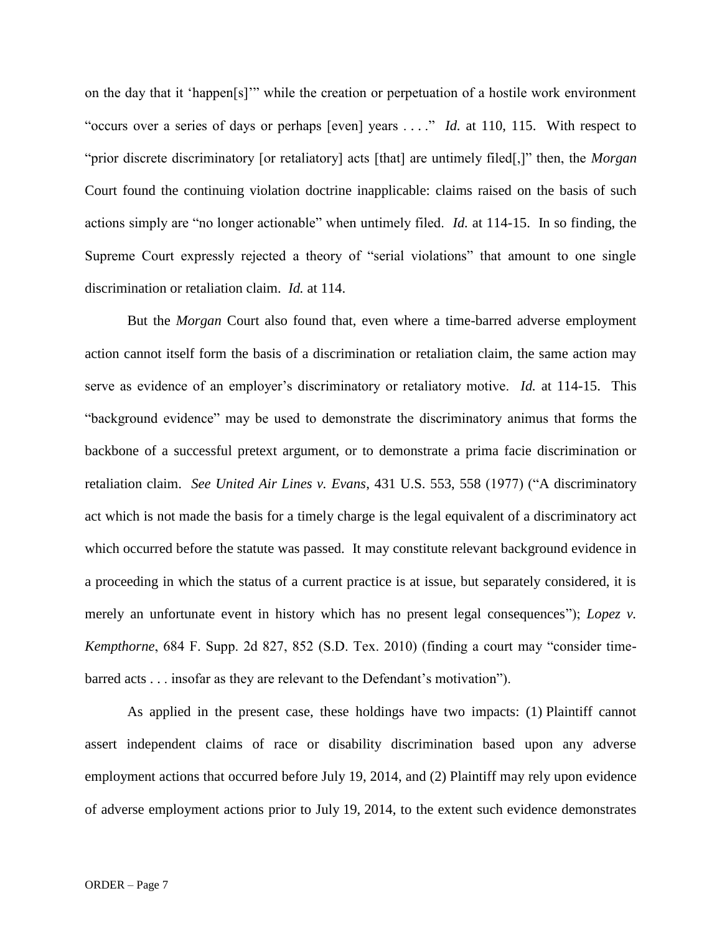on the day that it 'happen[s]'" while the creation or perpetuation of a hostile work environment "occurs over a series of days or perhaps [even] years . . . ." *Id.* at 110, 115. With respect to "prior discrete discriminatory [or retaliatory] acts [that] are untimely filed[,]" then, the *Morgan* Court found the continuing violation doctrine inapplicable: claims raised on the basis of such actions simply are "no longer actionable" when untimely filed. *Id.* at 114-15. In so finding, the Supreme Court expressly rejected a theory of "serial violations" that amount to one single discrimination or retaliation claim. *Id.* at 114.

But the *Morgan* Court also found that, even where a time-barred adverse employment action cannot itself form the basis of a discrimination or retaliation claim, the same action may serve as evidence of an employer's discriminatory or retaliatory motive. *Id.* at 114-15. This "background evidence" may be used to demonstrate the discriminatory animus that forms the backbone of a successful pretext argument, or to demonstrate a prima facie discrimination or retaliation claim. *See United Air Lines v. Evans*, 431 U.S. 553, 558 (1977) ("A discriminatory act which is not made the basis for a timely charge is the legal equivalent of a discriminatory act which occurred before the statute was passed. It may constitute relevant background evidence in a proceeding in which the status of a current practice is at issue, but separately considered, it is merely an unfortunate event in history which has no present legal consequences"); *Lopez v. Kempthorne*, 684 F. Supp. 2d 827, 852 (S.D. Tex. 2010) (finding a court may "consider timebarred acts . . . insofar as they are relevant to the Defendant's motivation").

As applied in the present case, these holdings have two impacts: (1) Plaintiff cannot assert independent claims of race or disability discrimination based upon any adverse employment actions that occurred before July 19, 2014, and (2) Plaintiff may rely upon evidence of adverse employment actions prior to July 19, 2014, to the extent such evidence demonstrates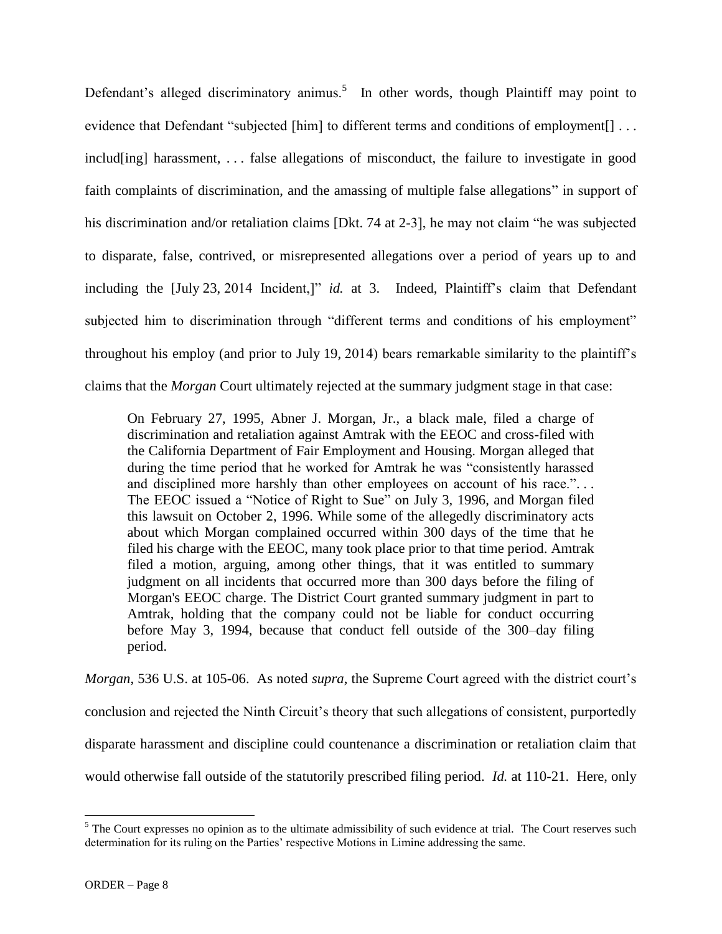Defendant's alleged discriminatory animus.<sup>5</sup> In other words, though Plaintiff may point to evidence that Defendant "subjected [him] to different terms and conditions of employment[] ... includ[ing] harassment, ... false allegations of misconduct, the failure to investigate in good faith complaints of discrimination, and the amassing of multiple false allegations" in support of his discrimination and/or retaliation claims [Dkt. 74 at 2-3], he may not claim "he was subjected to disparate, false, contrived, or misrepresented allegations over a period of years up to and including the [July 23, 2014 Incident,]" *id.* at 3. Indeed, Plaintiff's claim that Defendant subjected him to discrimination through "different terms and conditions of his employment" throughout his employ (and prior to July 19, 2014) bears remarkable similarity to the plaintiff's claims that the *Morgan* Court ultimately rejected at the summary judgment stage in that case:

On February 27, 1995, Abner J. Morgan, Jr., a black male, filed a charge of discrimination and retaliation against Amtrak with the EEOC and cross-filed with the California Department of Fair Employment and Housing. Morgan alleged that during the time period that he worked for Amtrak he was "consistently harassed and disciplined more harshly than other employees on account of his race."... The EEOC issued a "Notice of Right to Sue" on July 3, 1996, and Morgan filed this lawsuit on October 2, 1996. While some of the allegedly discriminatory acts about which Morgan complained occurred within 300 days of the time that he filed his charge with the EEOC, many took place prior to that time period. Amtrak filed a motion, arguing, among other things, that it was entitled to summary judgment on all incidents that occurred more than 300 days before the filing of Morgan's EEOC charge. The District Court granted summary judgment in part to Amtrak, holding that the company could not be liable for conduct occurring before May 3, 1994, because that conduct fell outside of the 300–day filing period.

*Morgan*, 536 U.S. at 105-06. As noted *supra*, the Supreme Court agreed with the district court's conclusion and rejected the Ninth Circuit's theory that such allegations of consistent, purportedly disparate harassment and discipline could countenance a discrimination or retaliation claim that would otherwise fall outside of the statutorily prescribed filing period. *Id.* at 110-21. Here, only

 $<sup>5</sup>$  The Court expresses no opinion as to the ultimate admissibility of such evidence at trial. The Court reserves such</sup> determination for its ruling on the Parties' respective Motions in Limine addressing the same.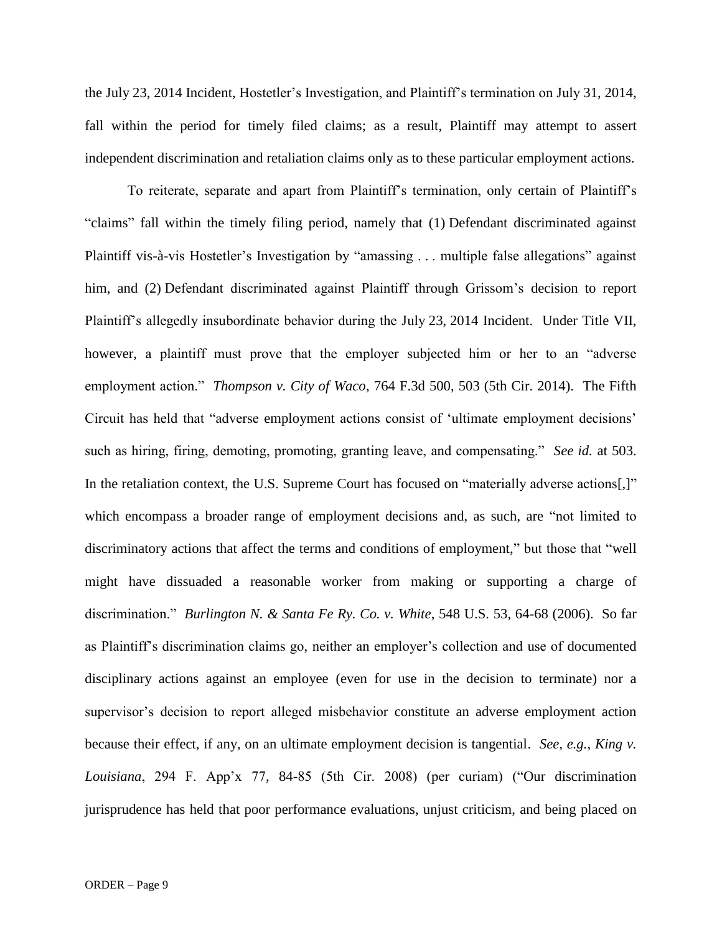the July 23, 2014 Incident, Hostetler's Investigation, and Plaintiff's termination on July 31, 2014, fall within the period for timely filed claims; as a result, Plaintiff may attempt to assert independent discrimination and retaliation claims only as to these particular employment actions.

To reiterate, separate and apart from Plaintiff's termination, only certain of Plaintiff's "claims" fall within the timely filing period, namely that (1) Defendant discriminated against Plaintiff vis-à-vis Hostetler's Investigation by "amassing . . . multiple false allegations" against him, and (2) Defendant discriminated against Plaintiff through Grissom's decision to report Plaintiff's allegedly insubordinate behavior during the July 23, 2014 Incident. Under Title VII, however, a plaintiff must prove that the employer subjected him or her to an "adverse employment action." *Thompson v. City of Waco*, 764 F.3d 500, 503 (5th Cir. 2014). The Fifth Circuit has held that "adverse employment actions consist of 'ultimate employment decisions' such as hiring, firing, demoting, promoting, granting leave, and compensating." *See id.* at 503. In the retaliation context, the U.S. Supreme Court has focused on "materially adverse actions[,]" which encompass a broader range of employment decisions and, as such, are "not limited to discriminatory actions that affect the terms and conditions of employment," but those that "well might have dissuaded a reasonable worker from making or supporting a charge of discrimination." *Burlington N. & Santa Fe Ry. Co. v. White*, 548 U.S. 53, 64-68 (2006). So far as Plaintiff's discrimination claims go, neither an employer's collection and use of documented disciplinary actions against an employee (even for use in the decision to terminate) nor a supervisor's decision to report alleged misbehavior constitute an adverse employment action because their effect, if any, on an ultimate employment decision is tangential. *See, e.g.*, *King v. Louisiana*, 294 F. App'x 77, 84-85 (5th Cir. 2008) (per curiam) ("Our discrimination jurisprudence has held that poor performance evaluations, unjust criticism, and being placed on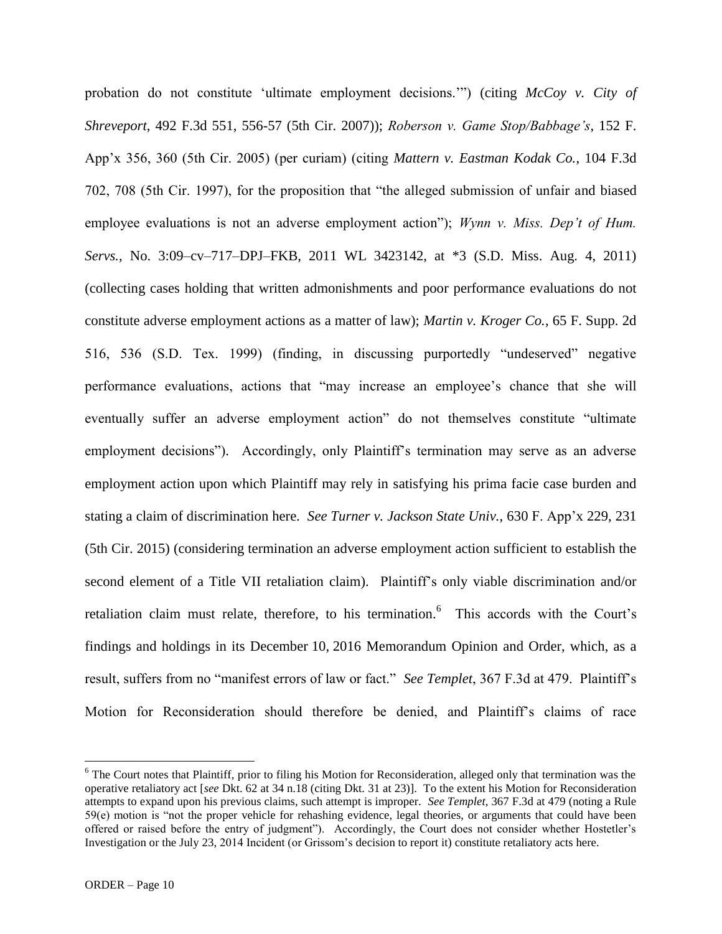probation do not constitute 'ultimate employment decisions.'") (citing *McCoy v. City of Shreveport*, 492 F.3d 551, 556-57 (5th Cir. 2007)); *Roberson v. Game Stop/Babbage's*, 152 F. App'x 356, 360 (5th Cir. 2005) (per curiam) (citing *Mattern v. Eastman Kodak Co.*, 104 F.3d 702, 708 (5th Cir. 1997), for the proposition that "the alleged submission of unfair and biased employee evaluations is not an adverse employment action"); *Wynn v. Miss. Dep't of Hum. Servs.*, No. 3:09–cv–717–DPJ–FKB, 2011 WL 3423142, at \*3 (S.D. Miss. Aug. 4, 2011) (collecting cases holding that written admonishments and poor performance evaluations do not constitute adverse employment actions as a matter of law); *Martin v. Kroger Co.*, 65 F. Supp. 2d 516, 536 (S.D. Tex. 1999) (finding, in discussing purportedly "undeserved" negative performance evaluations, actions that "may increase an employee's chance that she will eventually suffer an adverse employment action" do not themselves constitute "ultimate employment decisions"). Accordingly, only Plaintiff's termination may serve as an adverse employment action upon which Plaintiff may rely in satisfying his prima facie case burden and stating a claim of discrimination here. *See Turner v. Jackson State Univ.*, 630 F. App'x 229, 231 (5th Cir. 2015) (considering termination an adverse employment action sufficient to establish the second element of a Title VII retaliation claim). Plaintiff's only viable discrimination and/or retaliation claim must relate, therefore, to his termination. <sup>6</sup> This accords with the Court's findings and holdings in its December 10, 2016 Memorandum Opinion and Order, which, as a result, suffers from no "manifest errors of law or fact." *See Templet*, 367 F.3d at 479. Plaintiff's Motion for Reconsideration should therefore be denied, and Plaintiff's claims of race

<sup>&</sup>lt;sup>6</sup> The Court notes that Plaintiff, prior to filing his Motion for Reconsideration, alleged only that termination was the operative retaliatory act [*see* Dkt. 62 at 34 n.18 (citing Dkt. 31 at 23)]. To the extent his Motion for Reconsideration attempts to expand upon his previous claims, such attempt is improper. *See Templet*, 367 F.3d at 479 (noting a Rule 59(e) motion is "not the proper vehicle for rehashing evidence, legal theories, or arguments that could have been offered or raised before the entry of judgment"). Accordingly, the Court does not consider whether Hostetler's Investigation or the July 23, 2014 Incident (or Grissom's decision to report it) constitute retaliatory acts here.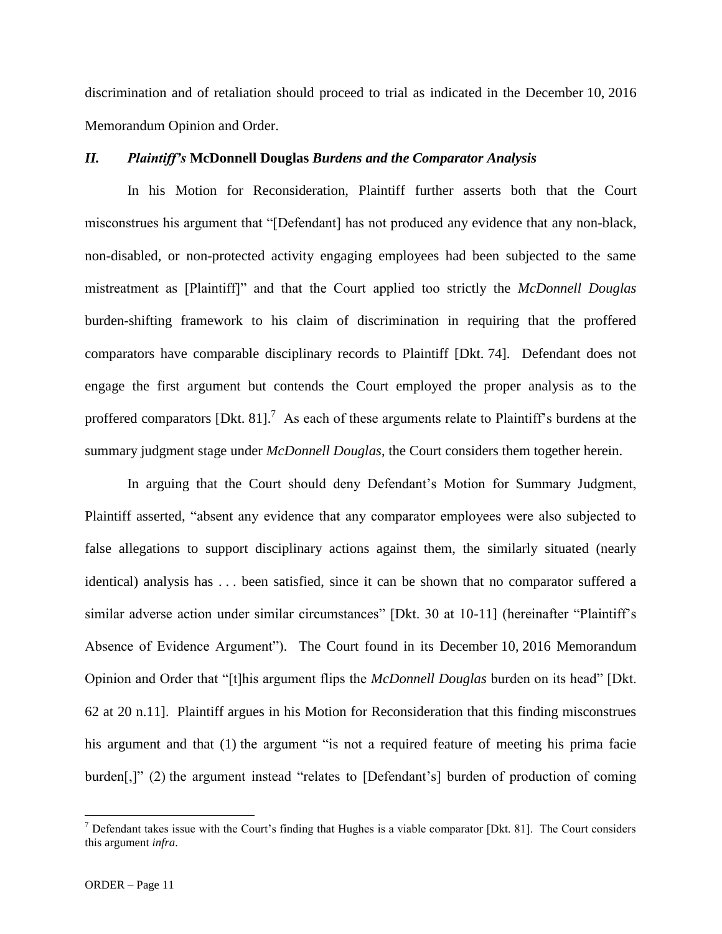discrimination and of retaliation should proceed to trial as indicated in the December 10, 2016 Memorandum Opinion and Order.

## *II. Plaintiff's* **McDonnell Douglas** *Burdens and the Comparator Analysis*

In his Motion for Reconsideration, Plaintiff further asserts both that the Court misconstrues his argument that "[Defendant] has not produced any evidence that any non-black, non-disabled, or non-protected activity engaging employees had been subjected to the same mistreatment as [Plaintiff]" and that the Court applied too strictly the *McDonnell Douglas* burden-shifting framework to his claim of discrimination in requiring that the proffered comparators have comparable disciplinary records to Plaintiff [Dkt. 74]. Defendant does not engage the first argument but contends the Court employed the proper analysis as to the proffered comparators [Dkt. 81].<sup>7</sup> As each of these arguments relate to Plaintiff's burdens at the summary judgment stage under *McDonnell Douglas*, the Court considers them together herein.

In arguing that the Court should deny Defendant's Motion for Summary Judgment, Plaintiff asserted, "absent any evidence that any comparator employees were also subjected to false allegations to support disciplinary actions against them, the similarly situated (nearly identical) analysis has . . . been satisfied, since it can be shown that no comparator suffered a similar adverse action under similar circumstances" [Dkt. 30 at 10-11] (hereinafter "Plaintiff's Absence of Evidence Argument"). The Court found in its December 10, 2016 Memorandum Opinion and Order that "[t]his argument flips the *McDonnell Douglas* burden on its head" [Dkt. 62 at 20 n.11]. Plaintiff argues in his Motion for Reconsideration that this finding misconstrues his argument and that (1) the argument "is not a required feature of meeting his prima facie burden[,]" (2) the argument instead "relates to [Defendant's] burden of production of coming

 $<sup>7</sup>$  Defendant takes issue with the Court's finding that Hughes is a viable comparator [Dkt. 81]. The Court considers</sup> this argument *infra*.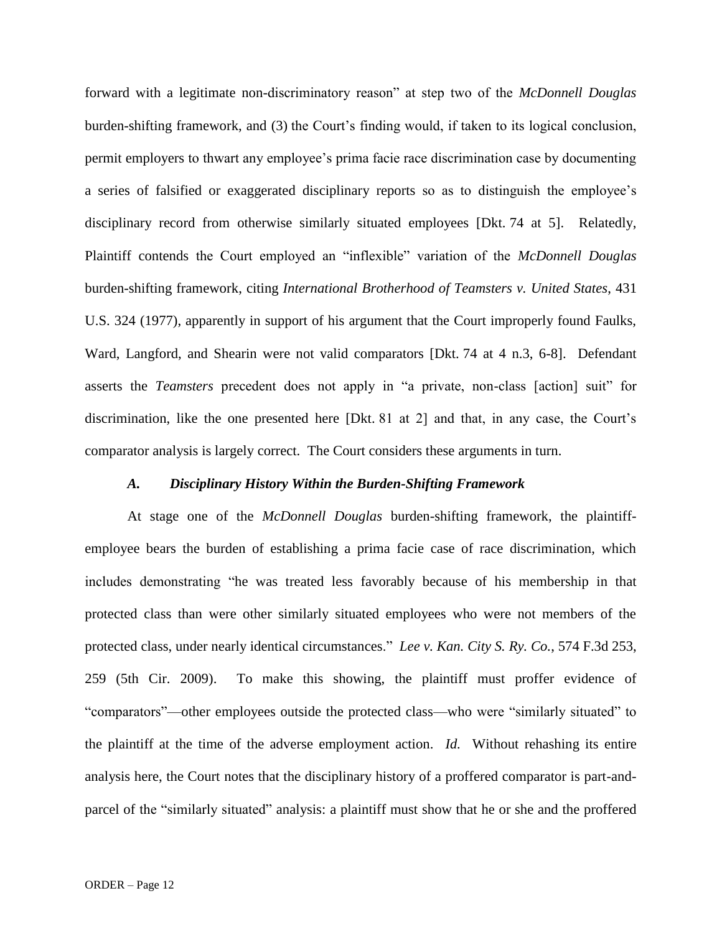forward with a legitimate non-discriminatory reason" at step two of the *McDonnell Douglas* burden-shifting framework, and (3) the Court's finding would, if taken to its logical conclusion, permit employers to thwart any employee's prima facie race discrimination case by documenting a series of falsified or exaggerated disciplinary reports so as to distinguish the employee's disciplinary record from otherwise similarly situated employees [Dkt. 74 at 5]. Relatedly, Plaintiff contends the Court employed an "inflexible" variation of the *McDonnell Douglas* burden-shifting framework, citing *International Brotherhood of Teamsters v. United States*, 431 U.S. 324 (1977), apparently in support of his argument that the Court improperly found Faulks, Ward, Langford, and Shearin were not valid comparators [Dkt. 74 at 4 n.3, 6-8]. Defendant asserts the *Teamsters* precedent does not apply in "a private, non-class [action] suit" for discrimination, like the one presented here [Dkt. 81 at 2] and that, in any case, the Court's comparator analysis is largely correct. The Court considers these arguments in turn.

#### *A. Disciplinary History Within the Burden-Shifting Framework*

At stage one of the *McDonnell Douglas* burden-shifting framework, the plaintiffemployee bears the burden of establishing a prima facie case of race discrimination, which includes demonstrating "he was treated less favorably because of his membership in that protected class than were other similarly situated employees who were not members of the protected class, under nearly identical circumstances." *Lee v. Kan. City S. Ry. Co.*, 574 F.3d 253, 259 (5th Cir. 2009). To make this showing, the plaintiff must proffer evidence of "comparators"—other employees outside the protected class—who were "similarly situated" to the plaintiff at the time of the adverse employment action. *Id.* Without rehashing its entire analysis here, the Court notes that the disciplinary history of a proffered comparator is part-andparcel of the "similarly situated" analysis: a plaintiff must show that he or she and the proffered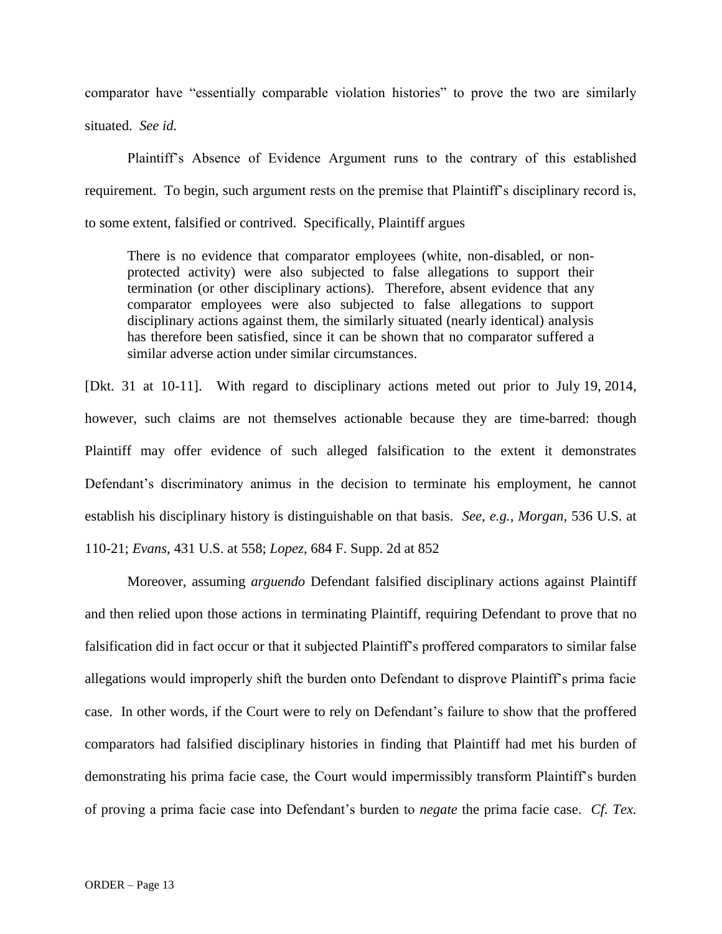comparator have "essentially comparable violation histories" to prove the two are similarly

situated. *See id.*

Plaintiff's Absence of Evidence Argument runs to the contrary of this established requirement. To begin, such argument rests on the premise that Plaintiff's disciplinary record is, to some extent, falsified or contrived. Specifically, Plaintiff argues

There is no evidence that comparator employees (white, non-disabled, or nonprotected activity) were also subjected to false allegations to support their termination (or other disciplinary actions). Therefore, absent evidence that any comparator employees were also subjected to false allegations to support disciplinary actions against them, the similarly situated (nearly identical) analysis has therefore been satisfied, since it can be shown that no comparator suffered a similar adverse action under similar circumstances.

[Dkt. 31 at 10-11]. With regard to disciplinary actions meted out prior to July 19, 2014, however, such claims are not themselves actionable because they are time-barred: though Plaintiff may offer evidence of such alleged falsification to the extent it demonstrates Defendant's discriminatory animus in the decision to terminate his employment, he cannot establish his disciplinary history is distinguishable on that basis. *See, e.g.*, *Morgan*, 536 U.S. at 110-21; *Evans*, 431 U.S. at 558; *Lopez*, 684 F. Supp. 2d at 852

Moreover, assuming *arguendo* Defendant falsified disciplinary actions against Plaintiff and then relied upon those actions in terminating Plaintiff, requiring Defendant to prove that no falsification did in fact occur or that it subjected Plaintiff's proffered comparators to similar false allegations would improperly shift the burden onto Defendant to disprove Plaintiff's prima facie case. In other words, if the Court were to rely on Defendant's failure to show that the proffered comparators had falsified disciplinary histories in finding that Plaintiff had met his burden of demonstrating his prima facie case, the Court would impermissibly transform Plaintiff's burden of proving a prima facie case into Defendant's burden to *negate* the prima facie case. *Cf. Tex.*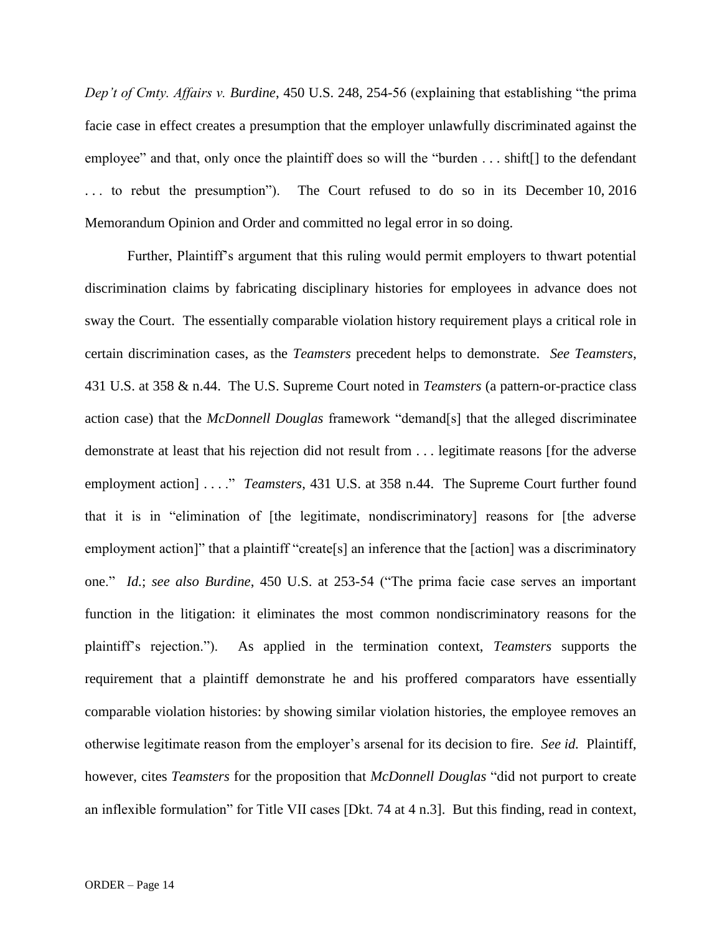*Dep't of Cmty. Affairs v. Burdine*, 450 U.S. 248, 254-56 (explaining that establishing "the prima facie case in effect creates a presumption that the employer unlawfully discriminated against the employee" and that, only once the plaintiff does so will the "burden . . . shift.] to the defendant . . . to rebut the presumption"). The Court refused to do so in its December 10, 2016 Memorandum Opinion and Order and committed no legal error in so doing.

Further, Plaintiff's argument that this ruling would permit employers to thwart potential discrimination claims by fabricating disciplinary histories for employees in advance does not sway the Court. The essentially comparable violation history requirement plays a critical role in certain discrimination cases, as the *Teamsters* precedent helps to demonstrate. *See Teamsters*, 431 U.S. at 358 & n.44. The U.S. Supreme Court noted in *Teamsters* (a pattern-or-practice class action case) that the *McDonnell Douglas* framework "demand[s] that the alleged discriminatee demonstrate at least that his rejection did not result from . . . legitimate reasons [for the adverse employment action] . . . ." *Teamsters*, 431 U.S. at 358 n.44. The Supreme Court further found that it is in "elimination of [the legitimate, nondiscriminatory] reasons for [the adverse employment action]" that a plaintiff "create[s] an inference that the [action] was a discriminatory one." *Id.*; *see also Burdine*, 450 U.S. at 253-54 ("The prima facie case serves an important function in the litigation: it eliminates the most common nondiscriminatory reasons for the plaintiff's rejection."). As applied in the termination context, *Teamsters* supports the requirement that a plaintiff demonstrate he and his proffered comparators have essentially comparable violation histories: by showing similar violation histories, the employee removes an otherwise legitimate reason from the employer's arsenal for its decision to fire. *See id.* Plaintiff, however, cites *Teamsters* for the proposition that *McDonnell Douglas* "did not purport to create an inflexible formulation" for Title VII cases [Dkt. 74 at 4 n.3]. But this finding, read in context,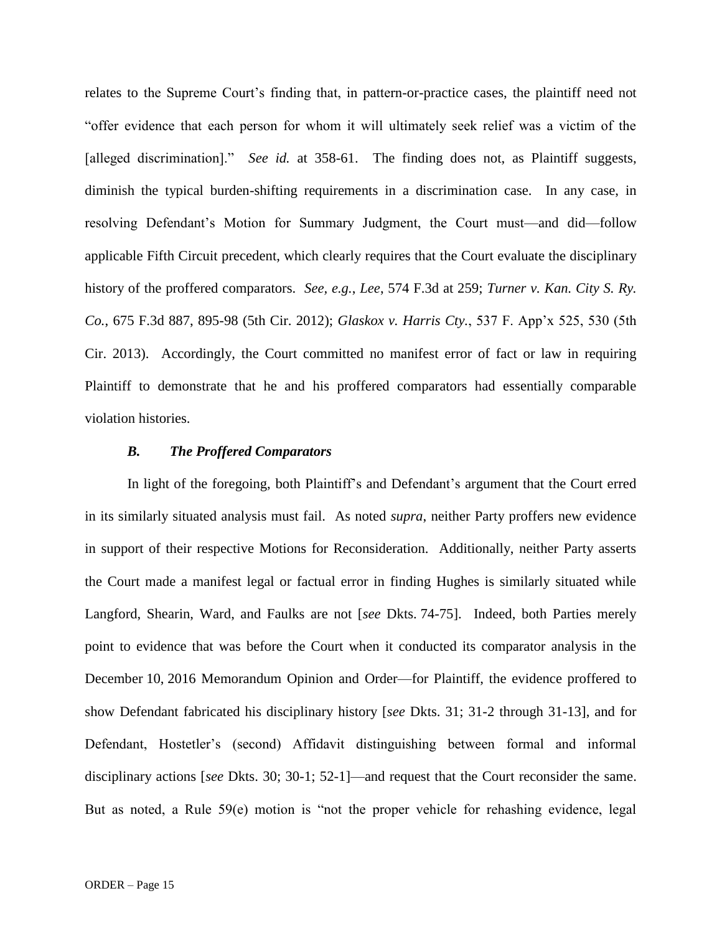relates to the Supreme Court's finding that, in pattern-or-practice cases, the plaintiff need not "offer evidence that each person for whom it will ultimately seek relief was a victim of the [alleged discrimination]." *See id.* at 358-61. The finding does not, as Plaintiff suggests, diminish the typical burden-shifting requirements in a discrimination case. In any case, in resolving Defendant's Motion for Summary Judgment, the Court must—and did—follow applicable Fifth Circuit precedent, which clearly requires that the Court evaluate the disciplinary history of the proffered comparators. *See, e.g.*, *Lee*, 574 F.3d at 259; *Turner v. Kan. City S. Ry. Co.*, 675 F.3d 887, 895-98 (5th Cir. 2012); *Glaskox v. Harris Cty.*, 537 F. App'x 525, 530 (5th Cir. 2013). Accordingly, the Court committed no manifest error of fact or law in requiring Plaintiff to demonstrate that he and his proffered comparators had essentially comparable violation histories.

### *B. The Proffered Comparators*

In light of the foregoing, both Plaintiff's and Defendant's argument that the Court erred in its similarly situated analysis must fail. As noted *supra*, neither Party proffers new evidence in support of their respective Motions for Reconsideration. Additionally, neither Party asserts the Court made a manifest legal or factual error in finding Hughes is similarly situated while Langford, Shearin, Ward, and Faulks are not [*see* Dkts. 74-75]. Indeed, both Parties merely point to evidence that was before the Court when it conducted its comparator analysis in the December 10, 2016 Memorandum Opinion and Order—for Plaintiff, the evidence proffered to show Defendant fabricated his disciplinary history [*see* Dkts. 31; 31-2 through 31-13], and for Defendant, Hostetler's (second) Affidavit distinguishing between formal and informal disciplinary actions [*see* Dkts. 30; 30-1; 52-1]—and request that the Court reconsider the same. But as noted, a Rule 59(e) motion is "not the proper vehicle for rehashing evidence, legal